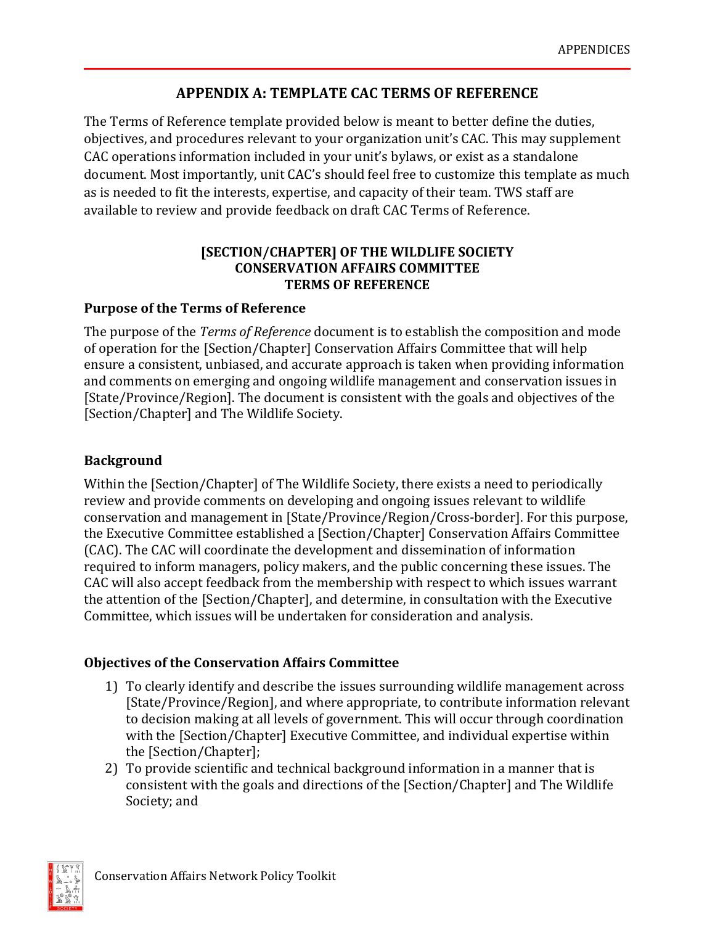# **APPENDIX A: TEMPLATE CAC TERMS OF REFERENCE**

The Terms of Reference template provided below is meant to better define the duties, objectives, and procedures relevant to your organization unit's CAC. This may supplement CAC operations information included in your unit's bylaws, or exist as a standalone document. Most importantly, unit CAC's should feel free to customize this template as much as is needed to fit the interests, expertise, and capacity of their team. TWS staff are available to review and provide feedback on draft CAC Terms of Reference.

## **[SECTION/CHAPTER] OF THE WILDLIFE SOCIETY CONSERVATION AFFAIRS COMMITTEE TERMS OF REFERENCE**

## **Purpose of the Terms of Reference**

The purpose of the *Terms of Reference* document is to establish the composition and mode of operation for the [Section/Chapter] Conservation Affairs Committee that will help ensure a consistent, unbiased, and accurate approach is taken when providing information and comments on emerging and ongoing wildlife management and conservation issues in [State/Province/Region]. The document is consistent with the goals and objectives of the [Section/Chapter] and The Wildlife Society.

## **Background**

Within the [Section/Chapter] of The Wildlife Society, there exists a need to periodically review and provide comments on developing and ongoing issues relevant to wildlife conservation and management in [State/Province/Region/Cross-border]. For this purpose, the Executive Committee established a [Section/Chapter] Conservation Affairs Committee (CAC). The CAC will coordinate the development and dissemination of information required to inform managers, policy makers, and the public concerning these issues. The CAC will also accept feedback from the membership with respect to which issues warrant the attention of the [Section/Chapter], and determine, in consultation with the Executive Committee, which issues will be undertaken for consideration and analysis.

## **Objectives of the Conservation Affairs Committee**

- 1) To clearly identify and describe the issues surrounding wildlife management across [State/Province/Region], and where appropriate, to contribute information relevant to decision making at all levels of government. This will occur through coordination with the [Section/Chapter] Executive Committee, and individual expertise within the [Section/Chapter];
- 2) To provide scientific and technical background information in a manner that is consistent with the goals and directions of the [Section/Chapter] and The Wildlife Society; and

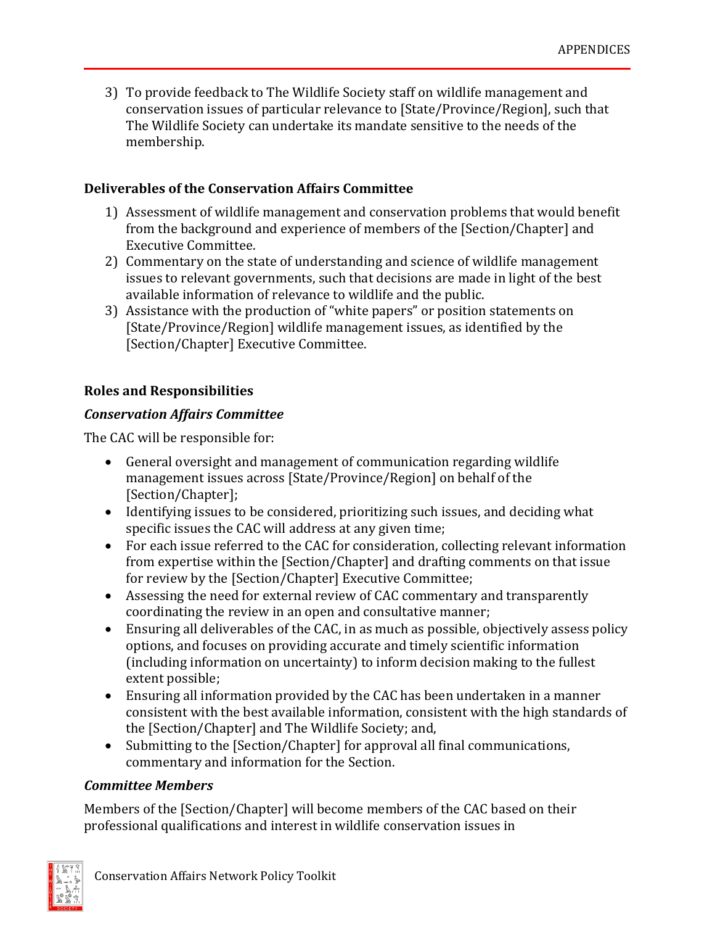3) To provide feedback to The Wildlife Society staff on wildlife management and conservation issues of particular relevance to [State/Province/Region], such that The Wildlife Society can undertake its mandate sensitive to the needs of the membership.

### **Deliverables of the Conservation Affairs Committee**

- 1) Assessment of wildlife management and conservation problems that would benefit from the background and experience of members of the [Section/Chapter] and Executive Committee.
- 2) Commentary on the state of understanding and science of wildlife management issues to relevant governments, such that decisions are made in light of the best available information of relevance to wildlife and the public.
- 3) Assistance with the production of "white papers" or position statements on [State/Province/Region] wildlife management issues, as identified by the [Section/Chapter] Executive Committee.

### **Roles and Responsibilities**

### *Conservation Affairs Committee*

The CAC will be responsible for:

- General oversight and management of communication regarding wildlife management issues across [State/Province/Region] on behalf of the [Section/Chapter];
- Identifying issues to be considered, prioritizing such issues, and deciding what specific issues the CAC will address at any given time;
- For each issue referred to the CAC for consideration, collecting relevant information from expertise within the [Section/Chapter] and drafting comments on that issue for review by the [Section/Chapter] Executive Committee;
- Assessing the need for external review of CAC commentary and transparently coordinating the review in an open and consultative manner;
- Ensuring all deliverables of the CAC, in as much as possible, objectively assess policy options, and focuses on providing accurate and timely scientific information (including information on uncertainty) to inform decision making to the fullest extent possible;
- Ensuring all information provided by the CAC has been undertaken in a manner consistent with the best available information, consistent with the high standards of the [Section/Chapter] and The Wildlife Society; and,
- Submitting to the [Section/Chapter] for approval all final communications, commentary and information for the Section.

#### *Committee Members*

Members of the [Section/Chapter] will become members of the CAC based on their professional qualifications and interest in wildlife conservation issues in

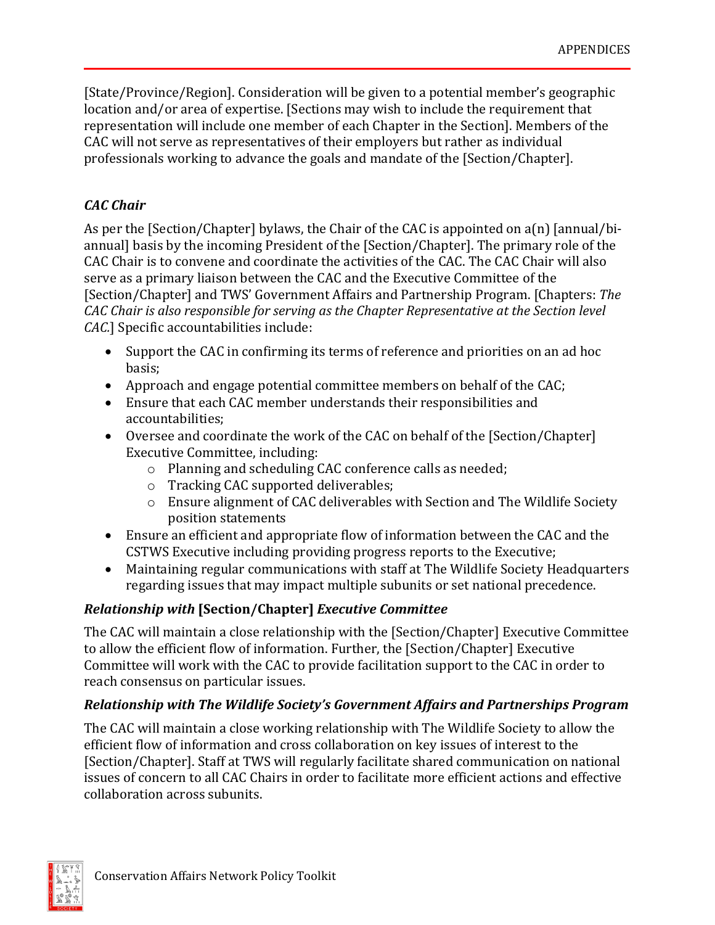[State/Province/Region]. Consideration will be given to a potential member's geographic location and/or area of expertise. [Sections may wish to include the requirement that representation will include one member of each Chapter in the Section]. Members of the CAC will not serve as representatives of their employers but rather as individual professionals working to advance the goals and mandate of the [Section/Chapter].

## *CAC Chair*

As per the [Section/Chapter] bylaws, the Chair of the CAC is appointed on a(n) [annual/biannual] basis by the incoming President of the [Section/Chapter]. The primary role of the CAC Chair is to convene and coordinate the activities of the CAC. The CAC Chair will also serve as a primary liaison between the CAC and the Executive Committee of the [Section/Chapter] and TWS' Government Affairs and Partnership Program. [Chapters: *The CAC Chair is also responsible for serving as the Chapter Representative at the Section level CAC.*] Specific accountabilities include:

- Support the CAC in confirming its terms of reference and priorities on an ad hoc basis;
- Approach and engage potential committee members on behalf of the CAC;
- Ensure that each CAC member understands their responsibilities and accountabilities;
- Oversee and coordinate the work of the CAC on behalf of the [Section/Chapter] Executive Committee, including:
	- o Planning and scheduling CAC conference calls as needed;
	- o Tracking CAC supported deliverables;
	- o Ensure alignment of CAC deliverables with Section and The Wildlife Society position statements
- Ensure an efficient and appropriate flow of information between the CAC and the CSTWS Executive including providing progress reports to the Executive;
- Maintaining regular communications with staff at The Wildlife Society Headquarters regarding issues that may impact multiple subunits or set national precedence.

# *Relationship with* **[Section/Chapter]** *Executive Committee*

The CAC will maintain a close relationship with the [Section/Chapter] Executive Committee to allow the efficient flow of information. Further, the [Section/Chapter] Executive Committee will work with the CAC to provide facilitation support to the CAC in order to reach consensus on particular issues.

## *Relationship with The Wildlife Society's Government Affairs and Partnerships Program*

The CAC will maintain a close working relationship with The Wildlife Society to allow the efficient flow of information and cross collaboration on key issues of interest to the [Section/Chapter]. Staff at TWS will regularly facilitate shared communication on national issues of concern to all CAC Chairs in order to facilitate more efficient actions and effective collaboration across subunits.

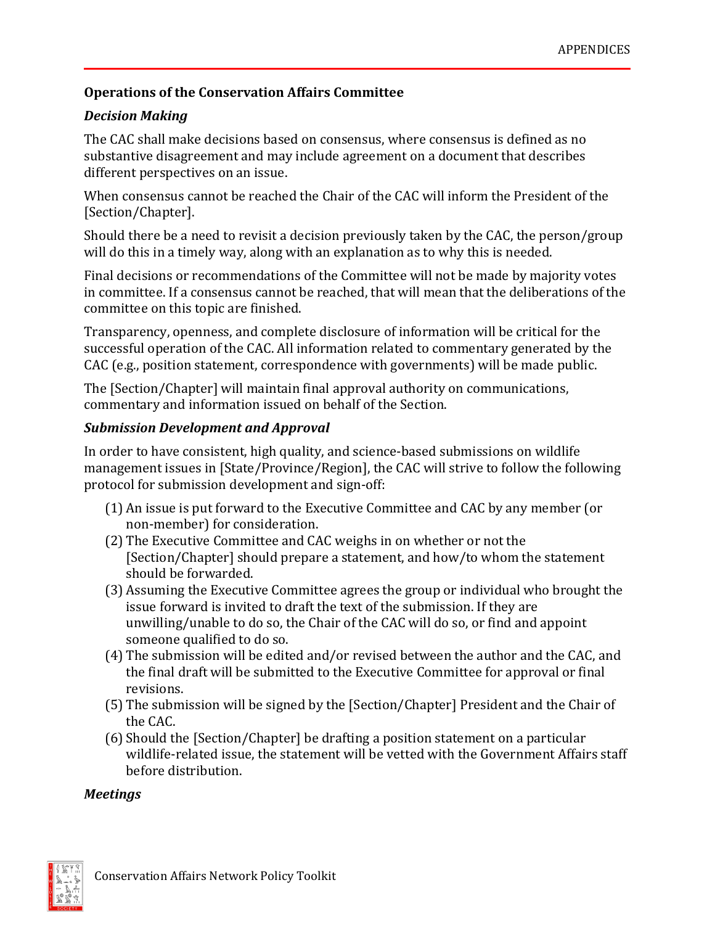## **Operations of the Conservation Affairs Committee**

## *Decision Making*

The CAC shall make decisions based on consensus, where consensus is defined as no substantive disagreement and may include agreement on a document that describes different perspectives on an issue.

When consensus cannot be reached the Chair of the CAC will inform the President of the [Section/Chapter].

Should there be a need to revisit a decision previously taken by the CAC, the person/group will do this in a timely way, along with an explanation as to why this is needed.

Final decisions or recommendations of the Committee will not be made by majority votes in committee. If a consensus cannot be reached, that will mean that the deliberations of the committee on this topic are finished.

Transparency, openness, and complete disclosure of information will be critical for the successful operation of the CAC. All information related to commentary generated by the CAC (e.g., position statement, correspondence with governments) will be made public.

The [Section/Chapter] will maintain final approval authority on communications, commentary and information issued on behalf of the Section.

### *Submission Development and Approval*

In order to have consistent, high quality, and science-based submissions on wildlife management issues in [State/Province/Region], the CAC will strive to follow the following protocol for submission development and sign-off:

- (1) An issue is put forward to the Executive Committee and CAC by any member (or non-member) for consideration.
- (2) The Executive Committee and CAC weighs in on whether or not the [Section/Chapter] should prepare a statement, and how/to whom the statement should be forwarded.
- (3) Assuming the Executive Committee agrees the group or individual who brought the issue forward is invited to draft the text of the submission. If they are unwilling/unable to do so, the Chair of the CAC will do so, or find and appoint someone qualified to do so.
- (4) The submission will be edited and/or revised between the author and the CAC, and the final draft will be submitted to the Executive Committee for approval or final revisions.
- (5) The submission will be signed by the [Section/Chapter] President and the Chair of the CAC.
- (6) Should the [Section/Chapter] be drafting a position statement on a particular wildlife-related issue, the statement will be vetted with the Government Affairs staff before distribution.

### *Meetings*